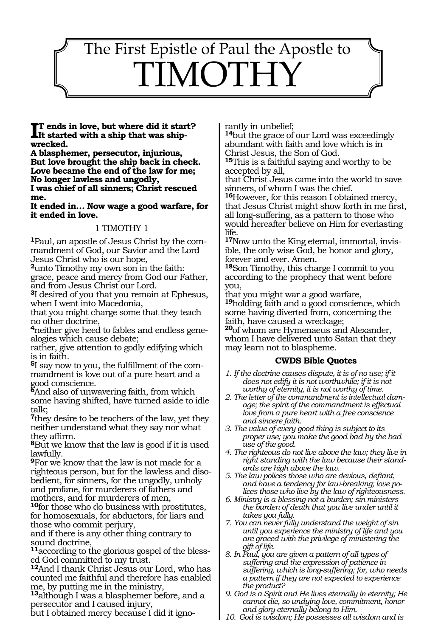# $\overline{1}$ The First Epistle of Paul the Apostle to IMOTH

wrecked. **t ends in love, but where did it start? It started with a ship that was ship- wrecked.**

**A blasphemer, persecutor, injurious, But love brought the ship back in check. Love became the end of the law for me; No longer lawless and ungodly, I was chief of all sinners; Christ rescued** 

**me.**

**It ended in… Now wage a good warfare, for it ended in love.**

# 1 TIMOTHY 1

**<sup>1</sup>**Paul, an apostle of Jesus Christ by the com- mandment of God, our Savior and the Lord Jesus Christ who is our hope,

**<sup>2</sup>**unto Timothy my own son in the faith: grace, peace and mercy from God our Father, and from Jesus Christ our Lord.

**<sup>3</sup>**I desired of you that you remain at Ephesus, when I went into Macedonia,

that you might charge some that they teach no other doctrine,

**<sup>4</sup>**neither give heed to fables and endless gene- alogies which cause debate;

rather, give attention to godly edifying which is in faith.

**<sup>5</sup>**I say now to you, the fulfillment of the com- mandment is love out of a pure heart and a good conscience.

**<sup>6</sup>**And also of unwavering faith, from which some having shifted, have turned aside to idle talk;

**<sup>7</sup>**they desire to be teachers of the law, yet they neither understand what they say nor what they affirm.

**<sup>8</sup>**But we know that the law is good if it is used lawfully.

**<sup>9</sup>**For we know that the law is not made for a righteous person, but for the lawless and disobedient, for sinners, for the ungodly, unholy and profane, for murderers of fathers and mothers, and for murderers of men,

**<sup>10</sup>**for those who do business with prostitutes, for homosexuals, for abductors, for liars and those who commit perjury,

and if there is any other thing contrary to sound doctrine,

**11**according to the glorious gospel of the blessed God committed to my trust.

**<sup>12</sup>**And I thank Christ Jesus our Lord, who has counted me faithful and therefore has enabled me, by putting me in the ministry,

**<sup>13</sup>**although I was a blasphemer before, and a persecutor and I caused injury,

but I obtained mercy because I did it igno-

rantly in unbelief;

**<sup>14</sup>**but the grace of our Lord was exceedingly abundant with faith and love which is in Christ Jesus, the Son of God.

**<sup>15</sup>**This is a faithful saying and worthy to be accepted by all,

that Christ Jesus came into the world to save sinners, of whom I was the chief.

**<sup>16</sup>**However, for this reason I obtained mercy, that Jesus Christ might show forth in me first, all long-suffering, as a pattern to those who would hereafter believe on Him for everlasting life.

**17**Now unto the King eternal, immortal, invisible, the only wise God, be honor and glory, forever and ever. Amen.

**<sup>18</sup>**Son Timothy, this charge I commit to you according to the prophecy that went before you,

that you might war a good warfare,

**<sup>19</sup>**holding faith and a good conscience, which some having diverted from, concerning the faith, have caused a wreckage;

**<sup>20</sup>**of whom are Hymenaeus and Alexander, whom I have delivered unto Satan that they may learn not to blaspheme.

#### **CWDS Bible Quotes**

- *1. If the doctrine causes dispute, it is of no use; if it does not edify it is not worthwhile; if it is not worthy of eternity, it is not worthy of time.*
- *2. The letter of the commandment is intellectual damage; the spirit of the commandment is effectual love from a pure heart with a free conscience and sincere faith.*
- *3. The value of every good thing is subject to its proper use; you make the good bad by the bad use of the good.*
- *4. The righteous do not live above the law; they live in right standing with the law because their standards are high above the law.*
- *5. The law polices those who are devious, defiant, and have a tendency for law-breaking; love polices those who live by the law of righteousness.*
- *6. Ministry is a blessing not a burden; sin ministers the burden of death that you live under until it takes you fully.*
- *7. You can never fully understand the weight of sin until you experience the ministry of life and you are graced with the privilege of ministering the gift of life.*
- *8. In Paul, you are given a pattern of all types of suffering and the expression of patience in suffering, which is long-suffering; for, who needs a pattern if they are not expected to experience the product?*
- *9. God is a Spirit and He lives eternally in eternity; He cannot die, so undying love, commitment, honor and glory eternally belong to Him.*
- *10. God is wisdom; He possesses all wisdom and is*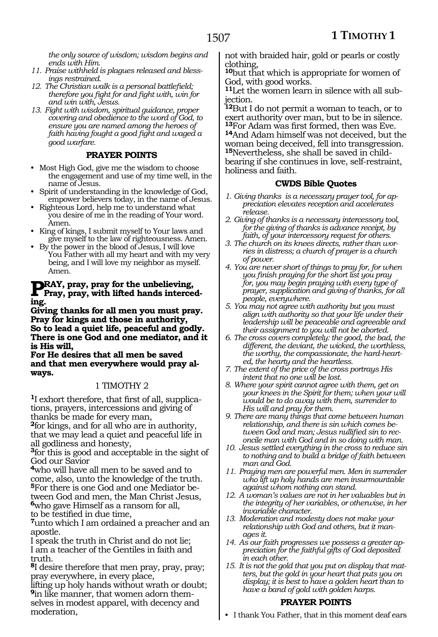*the only source of wisdom; wisdom begins and ends with Him.*

- *11. Praise withheld is plagues released and blessings restrained.*
- *12. The Christian walk is a personal battlefield; therefore you fight for and fight with, win for and win with, Jesus.*
- *13. Fight with wisdom, spiritual guidance, proper covering and obedience to the word of God, to ensure you are named among the heroes of faith having fought a good fight and waged a good warfare.*

#### **PRAYER POINTS**

- Most High God, give me the wisdom to choose the engagement and use of my time well, in the name of Jesus.
- Spirit of understanding in the knowledge of God, empower believers today, in the name of Jesus.
- Righteous Lord, help me to understand what you desire of me in the reading of Your word. Amen.
- King of kings, I submit myself to Your laws and give myself to the law of righteousness. Amen.
- By the power in the blood of Jesus, I will love You Father with all my heart and with my very being, and I will love my neighbor as myself. Amen.

# **PRAY, pray, pray for the unbelieving,**<br>Pray, pray, with lifted hands interced**ing.**

**Giving thanks for all men you must pray. Pray for kings and those in authority, So to lead a quiet life, peaceful and godly. There is one God and one mediator, and it is His will,** 

**For He desires that all men be saved and that men everywhere would pray always.**

#### 1 TIMOTHY 2

**1**I exhort therefore, that first of all, supplications, prayers, intercessions and giving of thanks be made for every man,

**<sup>2</sup>**for kings, and for all who are in authority, that we may lead a quiet and peaceful life in all godliness and honesty,

**<sup>3</sup>**for this is good and acceptable in the sight of God our Savior

**<sup>4</sup>**who will have all men to be saved and to come, also, unto the knowledge of the truth. **5**For there is one God and one Mediator between God and men, the Man Christ Jesus, **<sup>6</sup>**who gave Himself as a ransom for all, to be testified in due time,

**<sup>7</sup>**unto which I am ordained a preacher and an apostle.

I speak the truth in Christ and do not lie; I am a teacher of the Gentiles in faith and truth.

**<sup>8</sup>**I desire therefore that men pray, pray, pray; pray everywhere, in every place,

lifting up holy hands without wrath or doubt;<br>**9** in like manner, that women adorn themselves in modest apparel, with decency and moderation,

not with braided hair, gold or pearls or costly clothing,

**<sup>10</sup>**but that which is appropriate for women of God, with good works.

**11**Let the women learn in silence with all subjection.

**<sup>12</sup>**But I do not permit a woman to teach, or to exert authority over man, but to be in silence. **<sup>13</sup>**For Adam was first formed, then was Eve. **<sup>14</sup>**And Adam himself was not deceived, but the woman being deceived, fell into transgression. **15**Nevertheless, she shall be saved in childbearing if she continues in love, self-restraint, holiness and faith.

#### **CWDS Bible Quotes**

- *1. Giving thanks is a necessary prayer tool, for appreciation elevates reception and accelerates release.*
- *2. Giving of thanks is a necessary intercessory tool, for the giving of thanks is advance receipt, by faith, of your intercessory request for others.*
- *3. The church on its knees directs, rather than worries in distress; a church of prayer is a church of power.*
- *4. You are never short of things to pray for, for when you finish praying for the short list you pray for, you may begin praying with every type of prayer, supplication and giving of thanks, for all people, everywhere.*
- *5. You may not agree with authority but you must align with authority so that your life under their leadership will be peaceable and agreeable and their assignment to you will not be aborted.*
- *6. The cross covers completely: the good, the bad, the different, the deviant, the wicked, the worthless, the worthy, the compassionate, the hard-hearted, the hearty and the heartless.*
- *7. The extent of the price of the cross portrays His intent that no one will be lost.*
- *8. Where your spirit cannot agree with them, get on your knees in the Spirit for them; when your will would be to do away with them, surrender to His will and pray for them.*
- *9. There are many things that come between human relationship, and there is sin which comes between God and man; Jesus nullified sin to reconcile man with God and in so doing with man.*
- *10. Jesus settled everything in the cross to reduce sin to nothing and to build a bridge of faith between man and God.*
- *11. Praying men are powerful men. Men in surrender who lift up holy hands are men insurmountable against whom nothing can stand.*
- *12. A woman's values are not in her valuables but in the integrity of her variables, or otherwise, in her invariable character.*
- *13. Moderation and modesty does not make your relationship with God and others, but it manages it.*
- *14. As our faith progresses we possess a greater appreciation for the faithful gifts of God deposited in each other.*
- *15. It is not the gold that you put on display that matters, but the gold in your heart that puts you on display; it is best to have a golden heart than to have a band of gold with golden harps.*

#### **PRAYER POINTS**

• I thank You Father, that in this moment deaf ears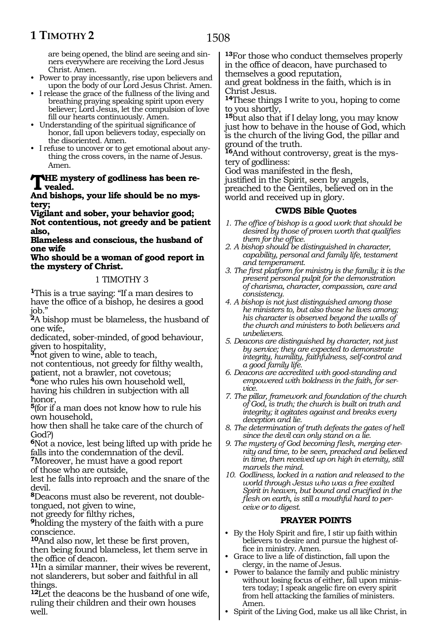1508

are being opened, the blind are seeing and sinners everywhere are receiving the Lord Jesus Christ. Amen.

- Power to pray incessantly, rise upon believers and upon the body of our Lord Jesus Christ. Amen.
- I release the grace of the fullness of the living and breathing praying speaking spirit upon every believer; Lord Jesus, let the compulsion of love fill our hearts continuously. Amen.
- Understanding of the spiritual significance of honor, fall upon believers today, especially on the disoriented. Amen.
- I refuse to uncover or to get emotional about anything the cross covers, in the name of Jesus. Amen.

#### **The mystery of godliness has been revealed.**

**And bishops, your life should be no mystery;** 

**Vigilant and sober, your behavior good; Not contentious, not greedy and be patient also,**

**Blameless and conscious, the husband of one wife**

#### **Who should be a woman of good report in the mystery of Christ.**

# 1 TIMOTHY 3

**<sup>1</sup>**This is a true saying: "If a man desires to have the office of a bishop, he desires a good job."

**<sup>2</sup>**A bishop must be blameless, the husband of one wife,

dedicated, sober-minded, of good behaviour, given to hospitality,

**<sup>3</sup>**not given to wine, able to teach,

not contentious, not greedy for filthy wealth, patient, not a brawler, not covetous;

**<sup>4</sup>**one who rules his own household well, having his children in subjection with all honor,

**<sup>5</sup>**(for if a man does not know how to rule his own household,

how then shall he take care of the church of God?)

**<sup>6</sup>**Not a novice, lest being lifted up with pride he falls into the condemnation of the devil.

**<sup>7</sup>**Moreover, he must have a good report

of those who are outside,

lest he falls into reproach and the snare of the devil.

**8**Deacons must also be reverent, not doubletongued, not given to wine,

not greedy for filthy riches,

**<sup>9</sup>**holding the mystery of the faith with a pure conscience.

**<sup>10</sup>**And also now, let these be first proven,

then being found blameless, let them serve in the office of deacon.

**<sup>11</sup>**In a similar manner, their wives be reverent, not slanderers, but sober and faithful in all things.

**<sup>12</sup>**Let the deacons be the husband of one wife, ruling their children and their own houses well.

**<sup>13</sup>**For those who conduct themselves properly in the office of deacon, have purchased to themselves a good reputation,

and great boldness in the faith, which is in Christ Jesus.

**<sup>14</sup>**These things I write to you, hoping to come to you shortly,

**<sup>15</sup>**but also that if I delay long, you may know just how to behave in the house of God, which is the church of the living God, the pillar and ground of the truth.

**16**And without controversy, great is the mystery of godliness:

God was manifested in the flesh,

justified in the Spirit, seen by angels,

preached to the Gentiles, believed on in the world and received up in glory.

## **CWDS Bible Quotes**

- *1. The office of bishop is a good work that should be desired by those of proven worth that qualifies them for the office.*
- *2. A bishop should be distinguished in character, capability, personal and family life, testament and temperament.*
- *3. The first platform for ministry is the family; it is the present personal pulpit for the demonstration of charisma, character, compassion, care and consistency.*
- *4. A bishop is not just distinguished among those he ministers to, but also those he lives among; his character is observed beyond the walls of the church and ministers to both believers and unbelievers.*
- *5. Deacons are distinguished by character, not just by service; they are expected to demonstrate integrity, humility, faithfulness, self-control and a good family life.*
- *6. Deacons are accredited with good-standing and empowered with boldness in the faith, for service.*
- *7. The pillar, framework and foundation of the church of God, is truth; the church is built on truth and integrity; it agitates against and breaks every deception and lie.*
- *8. The determination of truth defeats the gates of hell since the devil can only stand on a lie.*
- *9. The mystery of God becoming flesh, merging eternity and time, to be seen, preached and believed in time, then received up on high in eternity, still marvels the mind.*
- *10. Godliness, locked in a nation and released to the world through Jesus who was a free exalted Spirit in heaven, but bound and crucified in the flesh on earth, is still a mouthful hard to perceive or to digest.*

# **PRAYER POINTS**

- By the Holy Spirit and fire, I stir up faith within believers to desire and pursue the highest office in ministry. Amen.
- Grace to live a life of distinction, fall upon the clergy, in the name of Jesus.
- Power to balance the family and public ministry without losing focus of either, fall upon ministers today; I speak angelic fire on every spirit from hell attacking the families of ministers. Amen.
- Spirit of the Living God, make us all like Christ, in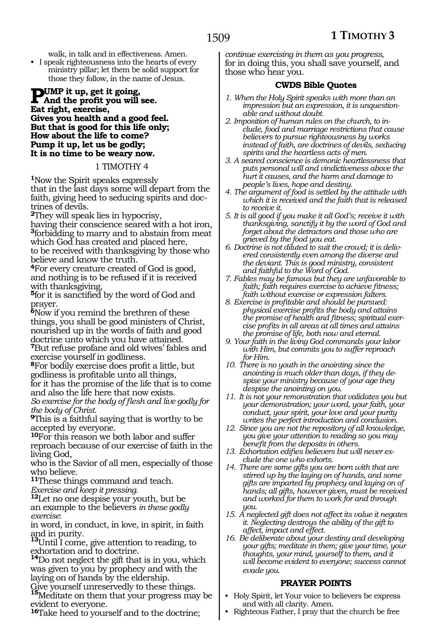walk, in talk and in effectiveness. Amen.

• I speak righteousness into the hearts of every ministry pillar; let them be solid support for those they follow, in the name of Jesus.

#### **Pump it up, get it going, And the profit you will see. Eat right, exercise, Gives you health and a good feel. But that is good for this life only; How about the life to come? Pump it up, let us be godly; It is no time to be weary now.**

#### 1 TIMOTHY 4

**<sup>1</sup>**Now the Spirit speaks expressly that in the last days some will depart from the faith, giving heed to seducing spirits and doctrines of devils.

**<sup>2</sup>**They will speak lies in hypocrisy,

having their conscience seared with a hot iron, **<sup>3</sup>**forbidding to marry and to abstain from meat which God has created and placed here,

to be received with thanksgiving by those who believe and know the truth.

**<sup>4</sup>**For every creature created of God is good, and nothing is to be refused if it is received with thanksgiving,

**<sup>5</sup>**for it is sanctified by the word of God and prayer.

**<sup>6</sup>**Now if you remind the brethren of these things, you shall be good ministers of Christ, nourished up in the words of faith and good doctrine unto which you have attained. **<sup>7</sup>**But refuse profane and old wives' fables and exercise yourself in godliness.

**<sup>8</sup>**For bodily exercise does profit a little, but godliness is profitable unto all things,

for it has the promise of the life that is to come and also the life here that now exists.

*So exercise for the body of flesh and live godly for the body of Christ.* 

**<sup>9</sup>**This is a faithful saying that is worthy to be accepted by everyone.

**<sup>10</sup>**For this reason we both labor and suffer reproach because of our exercise of faith in the living God,

who is the Savior of all men, especially of those who believe.

**<sup>11</sup>**These things command and teach.

*Exercise and keep it pressing.*

**<sup>12</sup>**Let no one despise your youth, but be an example to the believers *in these godly exercise*:

in word, in conduct, in love, in spirit, in faith

and in purity. **<sup>13</sup>**Until I come, give attention to reading, to exhortation and to doctrine.

**<sup>14</sup>**Do not neglect the gift that is in you, which was given to you by prophecy and with the laying on of hands by the eldership.

Give yourself unreservedly to these things. **<sup>15</sup>**Meditate on them that your progress may be evident to everyone.

**<sup>16</sup>**Take heed to yourself and to the doctrine;

*continue exercising in them as you progress,*  for in doing this, you shall save yourself, and those who hear you.

# **CWDS Bible Quotes**

- *1. When the Holy Spirit speaks with more than an impression but an expression, it is unquestionable and without doubt.*
- *2. Imposition of human rules on the church, to include, food and marriage restrictions that cause believers to pursue righteousness by works instead of faith, are doctrines of devils, seducing spirits and the heartless acts of men.*
- *3. A seared conscience is demonic heartlessness that puts personal will and vindictiveness above the hurt it causes, and the harm and damage to people's lives, hope and destiny.*
- *4. The argument of food is settled by the attitude with which it is received and the faith that is released to receive it.*
- *5. It is all good if you make it all God's; receive it with thanksgiving, sanctify it by the word of God and forget about the detractors and those who are grieved by the food you eat.*
- *6. Doctrine is not diluted to suit the crowd; it is delivered consistently even among the diverse and the deviant. This is good ministry, consistent and faithful to the Word of God.*
- *7. Fables may be famous but they are unfavorable to faith; faith requires exercise to achieve fitness; faith without exercise or expression falters.*
- *8. Exercise is profitable and should be pursued: physical exercise profits the body and attains the promise of health and fitness; spiritual exercise profits in all areas at all times and attains the promise of life, both now and eternal.*
- *9. Your faith in the living God commands your labor with Him, but commits you to suffer reproach for Him.*
- *10. There is no youth in the anointing since the anointing is much older than days, if they despise your ministry because of your age they despise the anointing on you.*
- *11. It is not your remonstration that validates you but your demonstration; your word, your faith, your conduct, your spirit, your love and your purity writes the perfect introduction and conclusion.*
- *12. Since you are not the repository of all knowledge, you give your attention to reading so you may benefit from the deposits in others.*
- *13. Exhortation edifies believers but will never exclude the one who exhorts.*
- *14. There are some gifts you are born with that are stirred up by the laying on of hands, and some gifts are imparted by prophecy and laying on of hands; all gifts, however given, must be received and worked for them to work for and through you.*
- *15. A neglected gift does not affect its value it negates it. Neglecting destroys the ability of the gift to affect, impact and effect.*
- *16. Be deliberate about your destiny and developing your gifts; meditate in them; give your time, your thoughts, your mind, yourself to them, and it will become evident to everyone; success cannot evade you.*

# **PRAYER POINTS**

- Holy Spirit, let Your voice to believers be express and with all clarity. Amen.
- Righteous Father, I pray that the church be free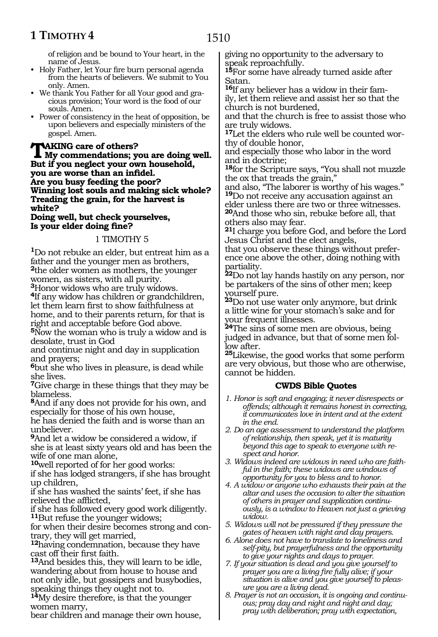# **1 TIMOTHY 4**

of religion and be bound to Your heart, in the name of Jesus.

- Holy Father, let Your fire burn personal agenda from the hearts of believers. We submit to You only. Amen.
- We thank You Father for all Your good and gracious provision; Your word is the food of our souls. Amen.
- Power of consistency in the heat of opposition, be upon believers and especially ministers of the gospel. Amen.

## **TAKING care of others?**<br>
My commendations; you are doing well.<br>
But if you neglect your sum household. **But if you neglect your own household, you are worse than an infidel. Are you busy feeding the poor? Winning lost souls and making sick whole? Treading the grain, for the harvest is white?**

#### **Doing well, but check yourselves, Is your elder doing fine?**

# 1 TIMOTHY 5

**<sup>1</sup>**Do not rebuke an elder, but entreat him as a father and the younger men as brothers, **<sup>2</sup>**the older women as mothers, the younger women, as sisters, with all purity.

**<sup>3</sup>**Honor widows who are truly widows.

**<sup>4</sup>**If any widow has children or grandchildren, let them learn first to show faithfulness at home, and to their parents return, for that is right and acceptable before God above.

**<sup>5</sup>**Now the woman who is truly a widow and is desolate, trust in God

and continue night and day in supplication and prayers;

**<sup>6</sup>**but she who lives in pleasure, is dead while she lives.

**<sup>7</sup>**Give charge in these things that they may be blameless.

**<sup>8</sup>**And if any does not provide for his own, and especially for those of his own house,

he has denied the faith and is worse than an unbeliever.

**<sup>9</sup>**And let a widow be considered a widow, if she is at least sixty years old and has been the wife of one man alone,

**<sup>10</sup>**well reported of for her good works:

if she has lodged strangers, if she has brought up children,

if she has washed the saints' feet, if she has relieved the afflicted,

if she has followed every good work diligently. **<sup>11</sup>**But refuse the younger widows;

for when their desire becomes strong and contrary, they will get married,

**<sup>12</sup>**having condemnation, because they have cast off their first faith.

**<sup>13</sup>**And besides this, they will learn to be idle, wandering about from house to house and not only idle, but gossipers and busybodies, speaking things they ought not to.

**<sup>14</sup>**My desire therefore, is that the younger women marry,

bear children and manage their own house,

giving no opportunity to the adversary to speak reproachfully.

**<sup>15</sup>**For some have already turned aside after Satan.

**16**If any believer has a widow in their family, let them relieve and assist her so that the church is not burdened,

and that the church is free to assist those who are truly widows.

**17**Let the elders who rule well be counted worthy of double honor,

and especially those who labor in the word and in doctrine;

**<sup>18</sup>**for the Scripture says, "You shall not muzzle the ox that treads the grain,"

and also, "The laborer is worthy of his wages." **<sup>19</sup>**Do not receive any accusation against an

elder unless there are two or three witnesses. **<sup>20</sup>**And those who sin, rebuke before all, that others also may fear.

**<sup>21</sup>**I charge you before God, and before the Lord Jesus Christ and the elect angels,

that you observe these things without preference one above the other, doing nothing with partiality.

**<sup>22</sup>**Do not lay hands hastily on any person, nor be partakers of the sins of other men; keep yourself pure.

**<sup>23</sup>**Do not use water only anymore, but drink a little wine for your stomach's sake and for your frequent illnesses.

**<sup>24</sup>**The sins of some men are obvious, being judged in advance, but that of some men follow after.

**<sup>25</sup>**Likewise, the good works that some perform are very obvious, but those who are otherwise, cannot be hidden.

# **CWDS Bible Quotes**

- *1. Honor is soft and engaging; it never disrespects or offends; although it remains honest in correcting, it communicates love in intent and at the extent in the end.*
- *2. Do an age assessment to understand the platform of relationship, then speak, yet it is maturity beyond this age to speak to everyone with respect and honor.*
- *3. Widows indeed are widows in need who are faithful in the faith; these widows are windows of opportunity for you to bless and to honor.*
- *4. A widow or anyone who exhausts their pain at the altar and uses the occasion to alter the situation of others in prayer and supplication continuously, is a window to Heaven not just a grieving widow.*
- *5. Widows will not be pressured if they pressure the gates of heaven with night and day prayers.*
- *6. Alone does not have to translate to loneliness and self-pity, but prayerfulness and the opportunity to give your nights and days to prayer.*
- *7. If your situation is dead and you give yourself to prayer you are a living fire fully alive; if your situation is alive and you give yourself to pleasure you are a living dead.*
- *8. Prayer is not an occasion, it is ongoing and continuous; pray day and night and night and day; pray with deliberation; pray with expectation,*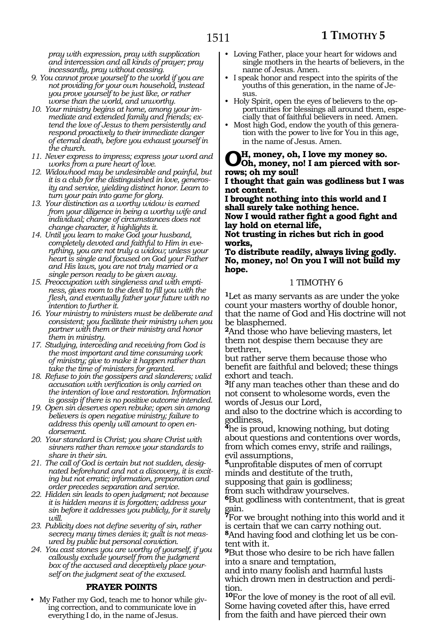*pray with expression, pray with supplication and intercession and all kinds of prayer; pray incessantly, pray without ceasing.*

- *9. You cannot prove yourself to the world if you are not providing for your own household, instead you prove yourself to be just like, or rather worse than the world, and unworthy.*
- *10. Your ministry begins at home, among your immediate and extended family and friends; extend the love of Jesus to them persistently and respond proactively to their immediate danger of eternal death, before you exhaust yourself in the church.*
- *11. Never express to impress; express your word and works from a pure heart of love.*
- *12. Widowhood may be undesirable and painful, but it is a club for the distinguished in love, generosity and service, yielding distinct honor. Learn to turn your pain into game for glory.*
- *13. Your distinction as a worthy widow is earned from your diligence in being a worthy wife and individual; change of circumstances does not change character, it highlights it.*
- *14. Until you learn to make God your husband, completely devoted and faithful to Him in everything, you are not truly a widow; unless your heart is single and focused on God your Father and His laws, you are not truly married or a single person ready to be given away.*
- *15. Preoccupation with singleness and with emptiness, gives room to the devil to fill you with the flesh, and eventually father your future with no intention to further it.*
- *16. Your ministry to ministers must be deliberate and consistent; you facilitate their ministry when you partner with them or their ministry and honor them in ministry.*
- *17. Studying, interceding and receiving from God is the most important and time consuming work of ministry; give to make it happen rather than take the time of ministers for granted.*
- *18. Refuse to join the gossipers and slanderers; valid accusation with verification is only carried on the intention of love and restoration. Information is gossip if there is no positive outcome intended.*
- *19. Open sin deserves open rebuke; open sin among believers is open negative ministry; failure to address this openly will amount to open endorsement.*
- *20. Your standard is Christ; you share Christ with sinners rather than remove your standards to share in their sin.*
- *21. The call of God is certain but not sudden, designated beforehand and not a discovery, it is exciting but not erratic; information, preparation and order precedes separation and service.*
- *22. Hidden sin leads to open judgment; not because it is hidden means it is forgotten; address your sin before it addresses you publicly, for it surely will.*
- *23. Publicity does not define severity of sin, rather secrecy many times denies it; guilt is not measured by public but personal conviction.*
- *24. You cast stones you are worthy of yourself, if you callously exclude yourself from the judgment box of the accused and deceptively place yourself on the judgment seat of the excused.*

# **PRAYER POINTS**

• My Father my God, teach me to honor while giving correction, and to communicate love in everything I do, in the name of Jesus.

- Loving Father, place your heart for widows and single mothers in the hearts of believers, in the name of Jesus. Amen.
- I speak honor and respect into the spirits of the youths of this generation, in the name of Jesus.
- Holy Spirit, open the eyes of believers to the opportunities for blessings all around them, especially that of faithful believers in need. Amen.
- Most high God, endow the youth of this generation with the power to live for You in this age, in the name of Jesus. Amen.

**Oh, money, oh, I love my money so. Oh, money, no! I am pierced with sor- rows; oh my soul!**

**I thought that gain was godliness but I was not content.**

**I brought nothing into this world and I shall surely take nothing hence. Now I would rather fight a good fight and lay hold on eternal life, Not trusting in riches but rich in good** 

**works, To distribute readily, always living godly. No, money, no! On you I will not build my hope.**

## 1 TIMOTHY 6

**<sup>1</sup>**Let as many servants as are under the yoke count your masters worthy of double honor, that the name of God and His doctrine will not be blasphemed.

**<sup>2</sup>**And those who have believing masters, let them not despise them because they are brethren,

but rather serve them because those who benefit are faithful and beloved; these things exhort and teach.

**<sup>3</sup>**If any man teaches other than these and do not consent to wholesome words, even the words of Jesus our Lord,

and also to the doctrine which is according to godliness,

**<sup>4</sup>**he is proud, knowing nothing, but doting about questions and contentions over words, from which comes envy, strife and railings, evil assumptions,

**<sup>5</sup>**unprofitable disputes of men of corrupt minds and destitute of the truth,

supposing that gain is godliness;

from such withdraw yourselves.

**<sup>6</sup>**But godliness with contentment, that is great gain.

**<sup>7</sup>**For we brought nothing into this world and it is certain that we can carry nothing out.

**8**And having food and clothing let us be content with it.

**<sup>9</sup>**But those who desire to be rich have fallen into a snare and temptation,

and into many foolish and harmful lusts which drown men in destruction and perdition.

**<sup>10</sup>**For the love of money is the root of all evil. Some having coveted after this, have erred from the faith and have pierced their own